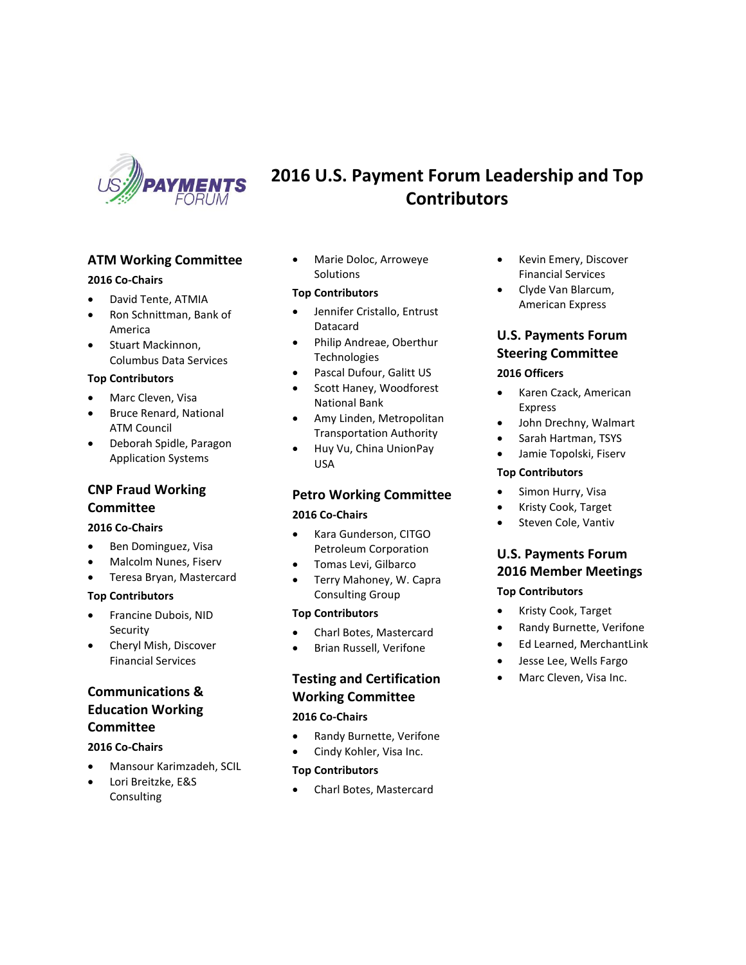

## **ATM Working Committee**

#### **2016 Co-Chairs**

- David Tente, ATMIA
- Ron Schnittman, Bank of America
- Stuart Mackinnon, Columbus Data Services

#### **Top Contributors**

- Marc Cleven, Visa
- Bruce Renard, National ATM Council
- Deborah Spidle, Paragon Application Systems

### **CNP Fraud Working Committee**

#### **2016 Co-Chairs**

- Ben Dominguez, Visa
- Malcolm Nunes, Fiserv
- Teresa Bryan, Mastercard

#### **Top Contributors**

- Francine Dubois, NID Security
- Cheryl Mish, Discover Financial Services

## **Communications & Education Working Committee**

#### **2016 Co-Chairs**

- Mansour Karimzadeh, SCIL
- Lori Breitzke, E&S **Consulting**

• Marie Doloc, Arroweye Solutions

#### **Top Contributors**

- Jennifer Cristallo, Entrust Datacard
- Philip Andreae, Oberthur Technologies
- Pascal Dufour, Galitt US
- Scott Haney, Woodforest National Bank
- Amy Linden, Metropolitan Transportation Authority
- Huy Vu, China UnionPay USA

### **Petro Working Committee**

#### **2016 Co-Chairs**

- Kara Gunderson, CITGO Petroleum Corporation
- Tomas Levi, Gilbarco
- Terry Mahoney, W. Capra Consulting Group

#### **Top Contributors**

- Charl Botes, Mastercard
- Brian Russell, Verifone

# **Testing and Certification Working Committee**

### **2016 Co-Chairs**

- Randy Burnette, Verifone
- Cindy Kohler, Visa Inc.

#### **Top Contributors**

• Charl Botes, Mastercard

- Kevin Emery, Discover Financial Services
- Clyde Van Blarcum, American Express

# **U.S. Payments Forum Steering Committee**

#### **2016 Officers**

**2016 U.S. Payment Forum Leadership and Top Contributors**

- Karen Czack, American Express
- John Drechny, Walmart
- Sarah Hartman, TSYS
- Jamie Topolski, Fiserv

#### **Top Contributors**

- Simon Hurry, Visa
- Kristy Cook, Target
- Steven Cole, Vantiv

## **U.S. Payments Forum 2016 Member Meetings**

#### **Top Contributors**

- Kristy Cook, Target
- Randy Burnette, Verifone
- Ed Learned, MerchantLink
- Jesse Lee, Wells Fargo
- Marc Cleven, Visa Inc.